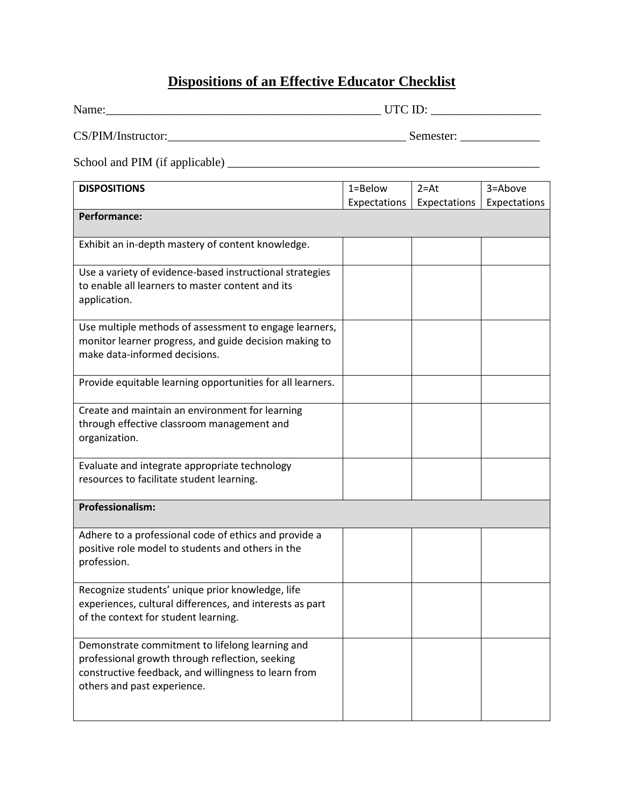## **Dispositions of an Effective Educator Checklist**

| Name:                                                                                                                                                                                     |                             |                          |                         |
|-------------------------------------------------------------------------------------------------------------------------------------------------------------------------------------------|-----------------------------|--------------------------|-------------------------|
|                                                                                                                                                                                           |                             |                          |                         |
|                                                                                                                                                                                           |                             |                          |                         |
| <b>DISPOSITIONS</b>                                                                                                                                                                       | $1 = Below$<br>Expectations | $2 = At$<br>Expectations | 3=Above<br>Expectations |
| <b>Performance:</b>                                                                                                                                                                       |                             |                          |                         |
| Exhibit an in-depth mastery of content knowledge.                                                                                                                                         |                             |                          |                         |
| Use a variety of evidence-based instructional strategies<br>to enable all learners to master content and its<br>application.                                                              |                             |                          |                         |
| Use multiple methods of assessment to engage learners,<br>monitor learner progress, and guide decision making to<br>make data-informed decisions.                                         |                             |                          |                         |
| Provide equitable learning opportunities for all learners.                                                                                                                                |                             |                          |                         |
| Create and maintain an environment for learning<br>through effective classroom management and<br>organization.                                                                            |                             |                          |                         |
| Evaluate and integrate appropriate technology<br>resources to facilitate student learning.                                                                                                |                             |                          |                         |
| <b>Professionalism:</b>                                                                                                                                                                   |                             |                          |                         |
| Adhere to a professional code of ethics and provide a<br>positive role model to students and others in the<br>profession.                                                                 |                             |                          |                         |
| Recognize students' unique prior knowledge, life<br>experiences, cultural differences, and interests as part<br>of the context for student learning.                                      |                             |                          |                         |
| Demonstrate commitment to lifelong learning and<br>professional growth through reflection, seeking<br>constructive feedback, and willingness to learn from<br>others and past experience. |                             |                          |                         |